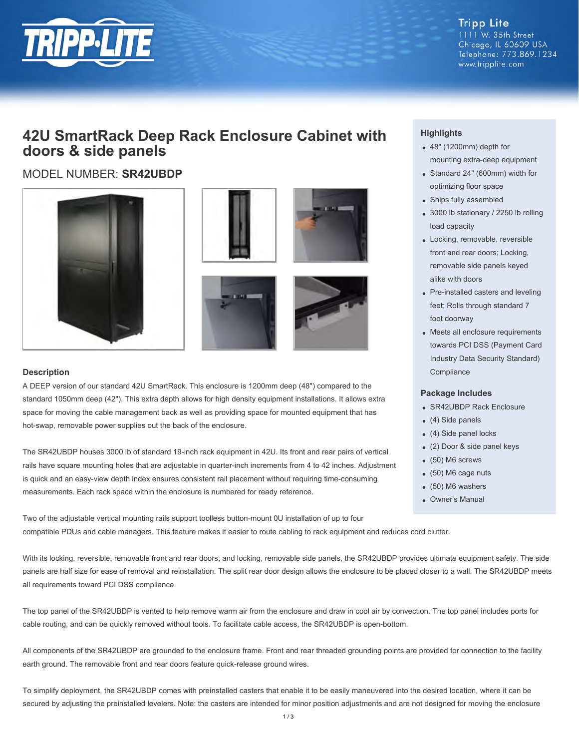

**Tripp Lite** 1111 W. 35th Street Chicago, IL 60609 USA Telephone: 773.869.1234 www.tripplite.com

## **42U SmartRack Deep Rack Enclosure Cabinet with doors & side panels**

MODEL NUMBER: **SR42UBDP**









#### **Description**

A DEEP version of our standard 42U SmartRack. This enclosure is 1200mm deep (48") compared to the standard 1050mm deep (42"). This extra depth allows for high density equipment installations. It allows extra space for moving the cable management back as well as providing space for mounted equipment that has hot-swap, removable power supplies out the back of the enclosure.

The SR42UBDP houses 3000 lb of standard 19-inch rack equipment in 42U. Its front and rear pairs of vertical rails have square mounting holes that are adjustable in quarter-inch increments from 4 to 42 inches. Adjustment is quick and an easy-view depth index ensures consistent rail placement without requiring time-consuming measurements. Each rack space within the enclosure is numbered for ready reference.

Two of the adjustable vertical mounting rails support toolless button-mount 0U installation of up to four compatible PDUs and cable managers. This feature makes it easier to route cabling to rack equipment and reduces cord clutter.

### **Highlights**

- 48" (1200mm) depth for mounting extra-deep equipment
- Standard 24" (600mm) width for optimizing floor space
- Ships fully assembled
- 3000 lb stationary / 2250 lb rolling load capacity
- Locking, removable, reversible front and rear doors; Locking, removable side panels keyed alike with doors
- Pre-installed casters and leveling feet; Rolls through standard 7 foot doorway
- Meets all enclosure requirements towards PCI DSS (Payment Card Industry Data Security Standard) **Compliance**

#### **Package Includes**

- SR42UBDP Rack Enclosure
- (4) Side panels
- (4) Side panel locks
- (2) Door & side panel keys
- (50) M6 screws
- (50) M6 cage nuts
- (50) M6 washers
- Owner's Manual

With its locking, reversible, removable front and rear doors, and locking, removable side panels, the SR42UBDP provides ultimate equipment safety. The side panels are half size for ease of removal and reinstallation. The split rear door design allows the enclosure to be placed closer to a wall. The SR42UBDP meets all requirements toward PCI DSS compliance.

The top panel of the SR42UBDP is vented to help remove warm air from the enclosure and draw in cool air by convection. The top panel includes ports for cable routing, and can be quickly removed without tools. To facilitate cable access, the SR42UBDP is open-bottom.

All components of the SR42UBDP are grounded to the enclosure frame. Front and rear threaded grounding points are provided for connection to the facility earth ground. The removable front and rear doors feature quick-release ground wires.

To simplify deployment, the SR42UBDP comes with preinstalled casters that enable it to be easily maneuvered into the desired location, where it can be secured by adjusting the preinstalled levelers. Note: the casters are intended for minor position adjustments and are not designed for moving the enclosure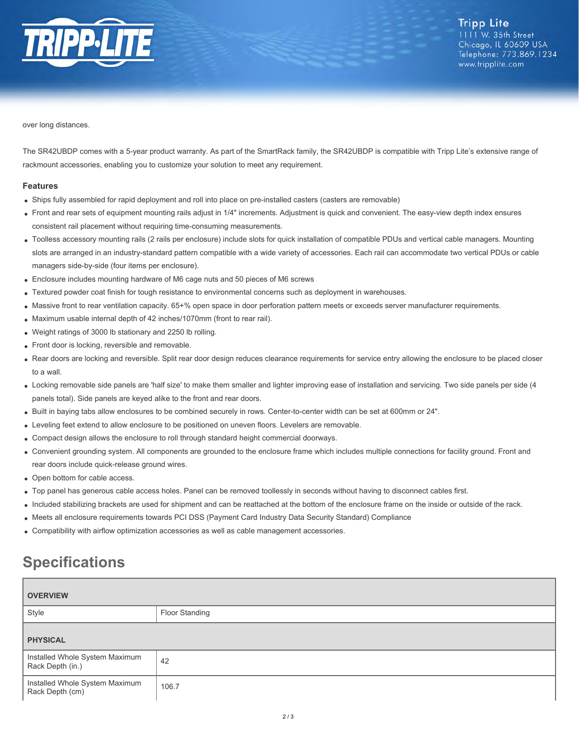

over long distances.

The SR42UBDP comes with a 5-year product warranty. As part of the SmartRack family, the SR42UBDP is compatible with Tripp Lite's extensive range of rackmount accessories, enabling you to customize your solution to meet any requirement.

#### **Features**

- Ships fully assembled for rapid deployment and roll into place on pre-installed casters (casters are removable)
- Front and rear sets of equipment mounting rails adjust in 1/4" increments. Adjustment is quick and convenient. The easy-view depth index ensures consistent rail placement without requiring time-consuming measurements.
- Toolless accessory mounting rails (2 rails per enclosure) include slots for quick installation of compatible PDUs and vertical cable managers. Mounting slots are arranged in an industry-standard pattern compatible with a wide variety of accessories. Each rail can accommodate two vertical PDUs or cable managers side-by-side (four items per enclosure).
- Enclosure includes mounting hardware of M6 cage nuts and 50 pieces of M6 screws
- Textured powder coat finish for tough resistance to environmental concerns such as deployment in warehouses.
- Massive front to rear ventilation capacity. 65+% open space in door perforation pattern meets or exceeds server manufacturer requirements.  $\bullet$
- Maximum usable internal depth of 42 inches/1070mm (front to rear rail).
- Weight ratings of 3000 lb stationary and 2250 lb rolling.
- Front door is locking, reversible and removable.
- Rear doors are locking and reversible. Split rear door design reduces clearance requirements for service entry allowing the enclosure to be placed closer to a wall.
- Locking removable side panels are 'half size' to make them smaller and lighter improving ease of installation and servicing. Two side panels per side (4 panels total). Side panels are keyed alike to the front and rear doors.
- Built in baying tabs allow enclosures to be combined securely in rows. Center-to-center width can be set at 600mm or 24".
- Leveling feet extend to allow enclosure to be positioned on uneven floors. Levelers are removable.
- Compact design allows the enclosure to roll through standard height commercial doorways.
- Convenient grounding system. All components are grounded to the enclosure frame which includes multiple connections for facility ground. Front and rear doors include quick-release ground wires.
- Open bottom for cable access.
- Top panel has generous cable access holes. Panel can be removed toollessly in seconds without having to disconnect cables first.
- Included stabilizing brackets are used for shipment and can be reattached at the bottom of the enclosure frame on the inside or outside of the rack.
- Meets all enclosure requirements towards PCI DSS (Payment Card Industry Data Security Standard) Compliance
- Compatibility with airflow optimization accessories as well as cable management accessories.

# **Specifications**

| <b>OVERVIEW</b>                                    |                |
|----------------------------------------------------|----------------|
| Style                                              | Floor Standing |
| <b>PHYSICAL</b>                                    |                |
| Installed Whole System Maximum<br>Rack Depth (in.) | 42             |
| Installed Whole System Maximum<br>Rack Depth (cm)  | 106.7          |